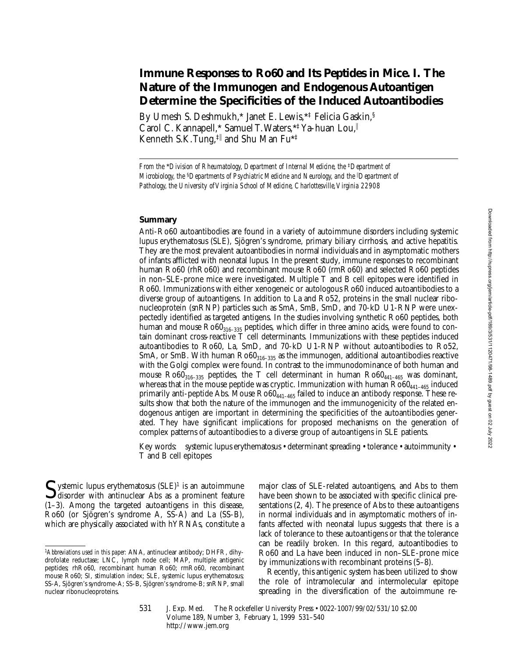# **Immune Responses to Ro60 and Its Peptides in Mice. I. The Nature of the Immunogen and Endogenous Autoantigen Determine the Specificities of the Induced Autoantibodies**

By Umesh S. Deshmukh,\* Janet E. Lewis,\*‡ Felicia Gaskin,§ Carol C. Kannapell,\* Samuel T. Waters,\*<sup>‡</sup> Ya-huan Lou, Kenneth S.K. Tung,‡<sup>i</sup> and Shu Man Fu\*‡

*From the \*Division of Rheumatology, Department of Internal Medicine, the <sup>‡</sup><i>Department of Microbiology, the* §*Departments of Psychiatric Medicine and Neurology, and the* <sup>i</sup> *Department of Pathology, the University of Virginia School of Medicine, Charlottesville, Virginia 22908*

## **Summary**

Anti-Ro60 autoantibodies are found in a variety of autoimmune disorders including systemic lupus erythematosus (SLE), Sjögren's syndrome, primary biliary cirrhosis, and active hepatitis. They are the most prevalent autoantibodies in normal individuals and in asymptomatic mothers of infants afflicted with neonatal lupus. In the present study, immune responses to recombinant human Ro60 (rhRo60) and recombinant mouse Ro60 (rmRo60) and selected Ro60 peptides in non–SLE-prone mice were investigated. Multiple T and B cell epitopes were identified in Ro60. Immunizations with either xenogeneic or autologous Ro60 induced autoantibodies to a diverse group of autoantigens. In addition to La and Ro52, proteins in the small nuclear ribonucleoprotein (snRNP) particles such as SmA, SmB, SmD, and 70-kD U1-RNP were unexpectedly identified as targeted antigens. In the studies involving synthetic Ro60 peptides, both human and mouse  $Ro60_{316-335}$  peptides, which differ in three amino acids, were found to contain dominant cross-reactive T cell determinants. Immunizations with these peptides induced autoantibodies to Ro60, La, SmD, and 70-kD U1-RNP without autoantibodies to Ro52, SmA, or SmB. With human  $Ro60_{316-335}$  as the immunogen, additional autoantibodies reactive with the Golgi complex were found. In contrast to the immunodominance of both human and mouse  $\text{Ro60}_{316-335}$  peptides, the T cell determinant in human  $\text{Ro60}_{441-465}$  was dominant, whereas that in the mouse peptide was cryptic. Immunization with human  $Ro60_{441-465}$  induced primarily anti-peptide Abs. Mouse  $Ro60_{441-465}$  failed to induce an antibody response. These results show that both the nature of the immunogen and the immunogenicity of the related endogenous antigen are important in determining the specificities of the autoantibodies generated. They have significant implications for proposed mechanisms on the generation of complex patterns of autoantibodies to a diverse group of autoantigens in SLE patients.

Key words: systemic lupus erythematosus • determinant spreading • tolerance • autoimmunity • T and B cell epitopes

 $\sum$  ystemic lupus erythematosus (SLE)<sup>1</sup> is an autoimmune<br>disorder with antinuclear Abs as a prominent feature (1–3). Among the targeted autoantigens in this disease, Ro60 (or Sjögren's syndrome A, SS-A) and La (SS-B), which are physically associated with hYRNAs, constitute a

major class of SLE-related autoantigens, and Abs to them have been shown to be associated with specific clinical presentations (2, 4). The presence of Abs to these autoantigens in normal individuals and in asymptomatic mothers of infants affected with neonatal lupus suggests that there is a lack of tolerance to these autoantigens or that the tolerance can be readily broken. In this regard, autoantibodies to Ro60 and La have been induced in non–SLE-prone mice by immunizations with recombinant proteins (5–8).

Recently, this antigenic system has been utilized to show the role of intramolecular and intermolecular epitope spreading in the diversification of the autoimmune re-

531 J. Exp. Med. © The Rockefeller University Press • 0022-1007/99/02/531/10 \$2.00 Volume 189, Number 3, February 1, 1999 531–540 http://www.jem.org

<sup>1</sup>*Abbreviations used in this paper:* ANA, antinuclear antibody; DHFR, dihydrofolate reductase; LNC, lymph node cell; MAP, multiple antigenic peptides; rhRo60, recombinant human Ro60; rmRo60, recombinant mouse Ro60; SI, stimulation index; SLE, systemic lupus erythematosus; SS-A, Sjögren's syndrome-A; SS-B, Sjögren's syndrome-B; snRNP, small nuclear ribonucleoproteins.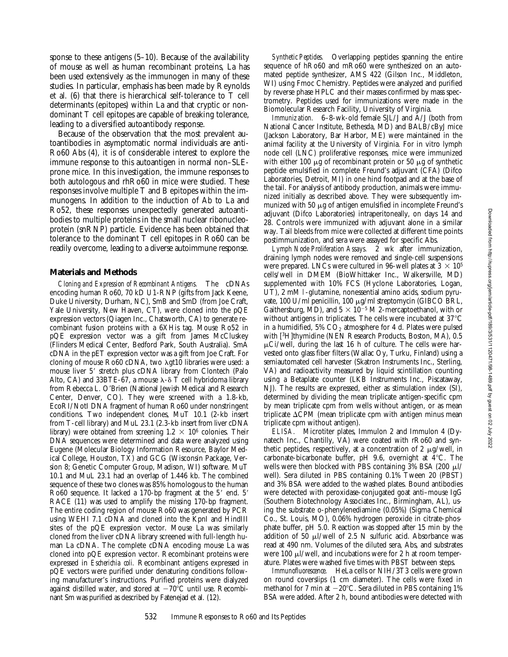sponse to these antigens (5–10). Because of the availability of mouse as well as human recombinant proteins, La has been used extensively as the immunogen in many of these studies. In particular, emphasis has been made by Reynolds et al. (6) that there is hierarchical self-tolerance to T cell determinants (epitopes) within La and that cryptic or nondominant T cell epitopes are capable of breaking tolerance, leading to a diversified autoantibody response.

Because of the observation that the most prevalent autoantibodies in asymptomatic normal individuals are anti-Ro60 Abs (4), it is of considerable interest to explore the immune response to this autoantigen in normal non–SLEprone mice. In this investigation, the immune responses to both autologous and rhRo60 in mice were studied. These responses involve multiple T and B epitopes within the immunogens. In addition to the induction of Ab to La and Ro52, these responses unexpectedly generated autoantibodies to multiple proteins in the small nuclear ribonucleoprotein (snRNP) particle. Evidence has been obtained that tolerance to the dominant T cell epitopes in Ro60 can be readily overcome, leading to a diverse autoimmune response.

#### **Materials and Methods**

*Cloning and Expression of Recombinant Antigens.* The cDNAs encoding human Ro60, 70 kD U1-RNP (gifts from Jack Keene, Duke University, Durham, NC), SmB and SmD (from Joe Craft, Yale University, New Haven, CT), were cloned into the pQE expression vectors (Qiagen Inc., Chatsworth, CA) to generate recombinant fusion proteins with a 6XHis tag. Mouse Ro52 in pQE expression vector was a gift from James McCluskey (Flinders Medical Center, Bedford Park, South Australia). SmA cDNA in the pET expression vector was a gift from Joe Craft. For cloning of mouse Ro60 cDNA, two λgt10 libraries were used: a mouse liver 5' stretch plus cDNA library from Clontech (Palo Alto, CA) and 33BTE-67, a mouse  $\lambda$ - $\delta$  T cell hybridoma library from Rebecca L. O'Brien (National Jewish Medical and Research Center, Denver, CO). They were screened with a 1.8-kb, EcoRI/NotI DNA fragment of human Ro60 under nonstringent conditions. Two independent clones, MuT 10.1 (2-kb insert from T-cell library) and MuL 23.1 (2.3-kb insert from liver cDNA library) were obtained from screening  $1.2 \times 10^6$  colonies. Their DNA sequences were determined and data were analyzed using Eugene (Molecular Biology Information Resource, Baylor Medical College, Houston, TX) and GCG (Wisconsin Package, Version 8; Genetic Computer Group, Madison, WI) software. MuT 10.1 and MuL 23.1 had an overlap of 1.446 kb. The combined sequence of these two clones was 85% homologous to the human Ro60 sequence. It lacked a 170-bp fragment at the 5' end. 5' RACE (11) was used to amplify the missing 170-bp fragment. The entire coding region of mouse Ro60 was generated by PCR using WEHI 7.1 cDNA and cloned into the KpnI and HindIII sites of the pQE expression vector. Mouse La was similarly cloned from the liver cDNA library screened with full-length human La cDNA. The complete cDNA encoding mouse La was cloned into pQE expression vector. Recombinant proteins were expressed in *Escherichia coli.* Recombinant antigens expressed in pQE vectors were purified under denaturing conditions following manufacturer's instructions. Purified proteins were dialyzed against distilled water, and stored at  $-70^{\circ}$ C until use. Recombinant Sm was purified as described by Fatenejad et al. (12).

*Synthetic Peptides.* Overlapping peptides spanning the entire sequence of hRo60 and mRo60 were synthesized on an automated peptide synthesizer, AMS 422 (Gilson Inc., Middleton, WI) using Fmoc Chemistry. Peptides were analyzed and purified by reverse phase HPLC and their masses confirmed by mass spectrometry. Peptides used for immunizations were made in the Biomolecular Research Facility, University of Virginia.

*Immunization.* 6–8-wk-old female SJL/J and A/J (both from National Cancer Institute, Bethesda, MD) and BALB/cByJ mice (Jackson Laboratory, Bar Harbor, ME) were maintained in the animal facility at the University of Virginia. For in vitro lymph node cell (LNC) proliferative responses, mice were immunized with either 100  $\mu$ g of recombinant protein or 50  $\mu$ g of synthetic peptide emulsified in complete Freund's adjuvant (CFA) (Difco Laboratories, Detroit, MI) in one hind footpad and at the base of the tail. For analysis of antibody production, animals were immunized initially as described above. They were subsequently immunized with 50  $\mu$ g of antigen emulsified in incomplete Freund's adjuvant (Difco Laboratories) intraperitoneally, on days 14 and 28. Controls were immunized with adjuvant alone in a similar way. Tail bleeds from mice were collected at different time points postimmunization, and sera were assayed for specific Abs.

*Lymph Node Proliferation Assays.* 2 wk after immunization, draining lymph nodes were removed and single-cell suspensions were prepared. LNCs were cultured in 96-well plates at  $3 \times 10^5$ cells/well in DMEM (BioWhittaker Inc., Walkersville, MD) supplemented with 10% FCS (Hyclone Laboratories, Logan, UT), 2 mM l-glutamine, nonessential amino acids, sodium pyruvate, 100 U/ml penicillin, 100 mg/ml streptomycin (GIBCO BRL, Gaithersburg, MD), and  $5 \times 10^{-5}$  M 2-mercaptoethanol, with or without antigens in triplicates. The cells were incubated at  $37^{\circ}\text{C}$ in a humidified,  $5\%$  CO<sub>2</sub> atmosphere for 4 d. Plates were pulsed with [3H]thymidine (NEN Research Products, Boston, MA), 0.5  $\mu$ Ci/well, during the last 16 h of culture. The cells were harvested onto glass fiber filters (Wallac Oy, Turku, Finland) using a semiautomated cell harvester (Skatron Instruments Inc., Sterling, VA) and radioactivity measured by liquid scintillation counting using a Betaplate counter (LKB Instruments Inc., Piscataway, NJ). The results are expressed, either as stimulation index (SI), determined by dividing the mean triplicate antigen-specific cpm by mean triplicate cpm from wells without antigen, or as mean triplicate  $\Delta$ CPM (mean triplicate cpm with antigen minus mean triplicate cpm without antigen).

*ELISA.* Microtiter plates, Immulon 2 and Immulon 4 (Dynatech Inc., Chantilly, VA) were coated with rRo60 and synthetic peptides, respectively, at a concentration of 2  $\mu$ g/well, in carbonate-bicarbonate buffer, pH 9.6, overnight at  $4^{\circ}$ C. The wells were then blocked with PBS containing  $3\%$  BSA (200  $\mu$ l/ well). Sera diluted in PBS containing 0.1% Tween 20 (PBST) and 3% BSA were added to the washed plates. Bound antibodies were detected with peroxidase-conjugated goat anti–mouse IgG (Southern Biotechnology Associates Inc., Birmingham, AL), using the substrate o-phenylenediamine (0.05%) (Sigma Chemical Co., St. Louis, MO), 0.06% hydrogen peroxide in citrate-phosphate buffer, pH 5.0. Reaction was stopped after 15 min by the addition of 50  $\mu$ l/well of 2.5 N sulfuric acid. Absorbance was read at 490 nm. Volumes of the diluted sera, Abs, and substrates were 100  $\mu$ I/well, and incubations were for 2 h at room temperature. Plates were washed five times with PBST between steps.

*Immunofluorescence.* HeLa cells or NIH/3T3 cells were grown on round coverslips (1 cm diameter). The cells were fixed in methanol for 7 min at  $-20^{\circ}$ C. Sera diluted in PBS containing 1% BSA were added. After 2 h, bound antibodies were detected with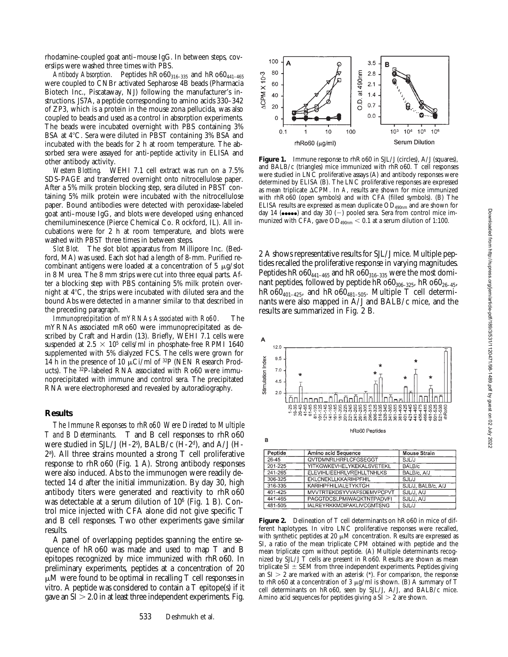rhodamine-coupled goat anti–mouse IgG. In between steps, coverslips were washed three times with PBS.

*Antibody Absorption.* Peptides hRo60<sub>316-335</sub> and hRo60<sub>441-465</sub> were coupled to CNBr activated Sepharose 4B beads (Pharmacia Biotech Inc., Piscataway, NJ) following the manufacturer's instructions. JS7A, a peptide corresponding to amino acids 330–342 of ZP3, which is a protein in the mouse zona pellucida, was also coupled to beads and used as a control in absorption experiments. The beads were incubated overnight with PBS containing 3% BSA at 4°C. Sera were diluted in PBST containing 3% BSA and incubated with the beads for 2 h at room temperature. The absorbed sera were assayed for anti-peptide activity in ELISA and other antibody activity.

*Western Blotting.* WEHI 7.1 cell extract was run on a 7.5% SDS-PAGE and transferred overnight onto nitrocellulose paper. After a 5% milk protein blocking step, sera diluted in PBST containing 5% milk protein were incubated with the nitrocellulose paper. Bound antibodies were detected with peroxidase-labeled goat anti–mouse IgG, and blots were developed using enhanced chemiluminescence (Pierce Chemical Co. Rockford, IL). All incubations were for 2 h at room temperature, and blots were washed with PBST three times in between steps.

*Slot Blot.* The slot blot apparatus from Millipore Inc. (Bedford, MA) was used. Each slot had a length of 8-mm. Purified recombinant antigens were loaded at a concentration of  $5 \mu g$ /slot in 8 M urea. The 8 mm strips were cut into three equal parts. After a blocking step with PBS containing 5% milk protein overnight at  $4^{\circ}$ C, the strips were incubated with diluted sera and the bound Abs were detected in a manner similar to that described in the preceding paragraph.

*Immunoprecipitation of mYRNAs Associated with Ro60.* The mYRNAs associated mRo60 were immunoprecipitated as described by Craft and Hardin (13). Briefly, WEHI 7.1 cells were suspended at 2.5  $\times$  10<sup>5</sup> cells/ml in phosphate-free RPMI 1640 supplemented with 5% dialyzed FCS. The cells were grown for 14 h in the presence of 10  $\mu$ Ci/ml of <sup>32</sup>P (NEN Research Products). The 32P-labeled RNA associated with Ro60 were immunoprecipitated with immune and control sera. The precipitated RNA were electrophoresed and revealed by autoradiography.

#### **Results**

*The Immune Responses to rhRo60 Were Directed to Multiple T and B Determinants.* T and B cell responses to rhRo60 were studied in SJL/J (H-2s ), BALB/c (H-2d), and A/J (H-2a ). All three strains mounted a strong T cell proliferative response to rhRo60 (Fig. 1 A). Strong antibody responses were also induced. Abs to the immunogen were readily detected 14 d after the initial immunization. By day 30, high antibody titers were generated and reactivity to rhRo60 was detectable at a serum dilution of  $10^6$  (Fig. 1 B). Control mice injected with CFA alone did not give specific T and B cell responses. Two other experiments gave similar results.

A panel of overlapping peptides spanning the entire sequence of hRo60 was made and used to map T and B epitopes recognized by mice immunized with rhRo60. In preliminary experiments, peptides at a concentration of 20  $\mu$ M were found to be optimal in recalling T cell responses in vitro. A peptide was considered to contain a T epitope(s) if it gave an  $SI > 2.0$  in at least three independent experiments. Fig.



Figure 1. Immune response to rhRo60 in SJL/J (circles), A/J (squares), and BALB/c (triangles) mice immunized with rhRo60. T cell responses were studied in LNC proliferative assays (A) and antibody responses were determined by ELISA (B). The LNC proliferative responses are expressed as mean triplicate  $\Delta$ CPM. In *A*, results are shown for mice immunized with rhRo60 (open symbols) and with CFA (filled symbols). (B) The ELISA results are expressed as mean duplicate  $OD_{490nm}$  and are shown for day 14  $(\bullet \bullet \bullet \bullet \bullet)$  and day 30  $(-)$  pooled sera. Sera from control mice immunized with CFA, gave  $OD_{490nm} < 0.1$  at a serum dilution of 1:100.

2 A shows representative results for SJL/J mice. Multiple peptides recalled the proliferative response in varying magnitudes. Peptides  $h \text{Ro} 60_{441-465}$  and  $h \text{Ro} 60_{316-335}$  were the most dominant peptides, followed by peptide hRo60<sub>306-325</sub>, hRo60<sub>26-45</sub>, hRo $60_{401-425}$ , and hRo $60_{481-505}$ . Multiple T cell determinants were also mapped in A/J and BALB/c mice, and the results are summarized in Fig. 2 B*.*



| Peptide     | Amino acid Sequence              | <b>Mouse Strain</b> |
|-------------|----------------------------------|---------------------|
| $26 - 45$   | <b>QVTDMNRLHRFLCFGSEGGT</b>      | SJL/J               |
| $201 - 225$ | YITKGWKEVHELYKEKALSVETEKL        | BALB/c              |
| 241-265     | ELEVIHLIEEHRLVREHLLTNHLKS        | BALB/c, A/J         |
| 306-325     | EKLCNEKLLKKARIHPFHIL             | SJL/J               |
| 316-335     | KARIHPFHILIALETYKTGH             | SJL/J, BALB/c, A/J  |
| $401 - 425$ | MVVTRTEKDSYVVAFSDEMVPCPVT        | SJL/J. A/J          |
| 441-465     | <b>PAGGTDCSLPMIWAQKTNTPADVFI</b> | SJLJ, AJ            |
| 481-505     | <b>IALREYRKKMDIPAKLIVCGMTSNG</b> | <b>SJL/J</b>        |

**Figure 2.** Delineation of T cell determinants on hRo60 in mice of different haplotypes. In vitro LNC proliferative responses were recalled, with synthetic peptides at 20  $\mu$ M concentration. Results are expressed as SI, a ratio of the mean triplicate CPM obtained with peptide and the mean triplicate cpm without peptide. (A) Multiple determinants recognized by SJL/J T cells are present in Ro60. Results are shown as mean triplicate  $SI \pm SEM$  from three independent experiments. Peptides giving an  $SI > 2$  are marked with an asterisk (\*). For comparison, the response to rhRo60 at a concentration of 3  $\mu$ g/ml is shown. (B) A summary of T cell determinants on hRo60, seen by SJL/J, A/J, and BALB/c mice. Amino acid sequences for peptides giving a  $SI > 2$  are shown.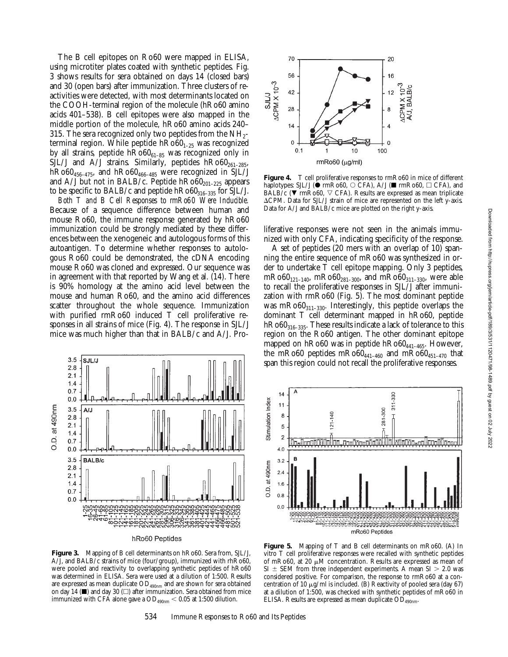The B cell epitopes on Ro60 were mapped in ELISA, using microtiter plates coated with synthetic peptides. Fig. 3 shows results for sera obtained on days 14 (closed bars) and 30 (open bars) after immunization. Three clusters of reactivities were detected, with most determinants located on the COOH-terminal region of the molecule (hRo60 amino acids 401–538). B cell epitopes were also mapped in the middle portion of the molecule, hRo60 amino acids 240– 315. The sera recognized only two peptides from the  $NH_{2}$ terminal region. While peptide  $hRo60_{1-25}$  was recognized by all strains, peptide  $h \text{Ro} 60_{61-85}$  was recognized only in SJL/J and A/J strains. Similarly, peptides  $h \text{Ro} 60_{261-285}$ ,  $h \text{Ro60}_{456-475}$ , and  $h \text{Ro60}_{466-485}$  were recognized in SJL/J and A/J but not in BALB/c. Peptide  $h \text{Ro} 60_{201-225}$  appears to be specific to BALB/c and peptide  $h \text{Ro} 60_{316-335}$  for SJL/J.

*Both T and B Cell Responses to rmRo60 Were Inducible.* Because of a sequence difference between human and mouse Ro60, the immune response generated by hRo60 immunization could be strongly mediated by these differences between the xenogeneic and autologous forms of this autoantigen. To determine whether responses to autologous Ro60 could be demonstrated, the cDNA encoding mouse Ro60 was cloned and expressed. Our sequence was in agreement with that reported by Wang et al. (14). There is 90% homology at the amino acid level between the mouse and human Ro60, and the amino acid differences scatter throughout the whole sequence. Immunization with purified rmRo60 induced T cell proliferative responses in all strains of mice (Fig. 4). The response in SJL/J mice was much higher than that in BALB/c and A/J. Pro-



**Figure 3.** Mapping of B cell determinants on hRo60. Sera from, SJL/J, A/J, and BALB/c strains of mice (four/group), immunized with rhRo60, were pooled and reactivity to overlapping synthetic peptides of hRo60 was determined in ELISA. Sera were used at a dilution of 1:500. Results are expressed as mean duplicate  $OD_{490nm}$  and are shown for sera obtained on day 14 ( $\blacksquare$ ) and day 30 ( $\Box$ ) after immunization. Sera obtained from mice immunized with CFA alone gave a  $OD_{490nm} < 0.05$  at 1:500 dilution.



Figure 4. T cell proliferative responses to rmRo60 in mice of different haplotypes: SJL/J ( $\bullet$  rmRo60,  $\circ$  CFA), A/J ( $\blacksquare$  rmRo60,  $\Box$  CFA), and BALB/c ( $\nabla$  rmRo60,  $\nabla$  CFA). Results are expressed as mean triplicate ACPM. Data for SJL/J strain of mice are represented on the left y-axis. Data for A/J and BALB/c mice are plotted on the right y-axis.

liferative responses were not seen in the animals immunized with only CFA, indicating specificity of the response.

A set of peptides (20 mers with an overlap of 10) spanning the entire sequence of mRo60 was synthesized in order to undertake T cell epitope mapping. Only 3 peptides, mRo60<sub>121–140</sub>, mRo60<sub>281–300</sub>, and mRo60<sub>311–330</sub>, were able to recall the proliferative responses in SJL/J after immunization with rmRo60 (Fig. 5). The most dominant peptide was mRo60 $_{311-330}$ . Interestingly, this peptide overlaps the dominant T cell determinant mapped in hRo60, peptide  $h \text{Ro} 60_{316-335}$ . These results indicate a lack of tolerance to this region on the Ro60 antigen. The other dominant epitope mapped on  $h \to 60$  was in peptide  $h \to 600_{441-465}$ . However, the mRo60 peptides mRo60<sub>441–460</sub> and mRo60<sub>451–470</sub> that span this region could not recall the proliferative responses.



**Figure 5.** Mapping of T and B cell determinants on mRo60. (A) In vitro T cell proliferative responses were recalled with synthetic peptides of mRo60, at 20  $\mu$ M concentration. Results are expressed as mean of  $SI \pm SEM$  from three independent experiments. A mean  $SI > 2.0$  was considered positive. For comparison, the response to rmRo60 at a concentration of 10  $\mu$ g/ml is included. (B) Reactivity of pooled sera (day 67) at a dilution of 1:500, was checked with synthetic peptides of mRo60 in ELISA. Results are expressed as mean duplicate  $OD_{490nm}$ .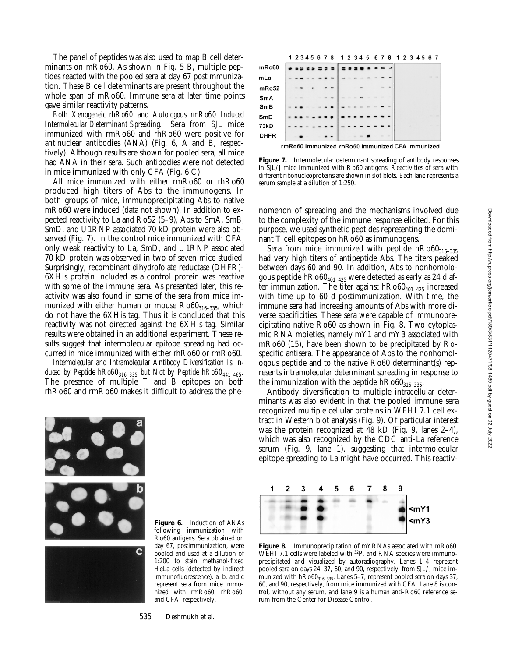The panel of peptides was also used to map B cell determinants on mRo60. As shown in Fig. 5 B, multiple peptides reacted with the pooled sera at day 67 postimmunization. These B cell determinants are present throughout the whole span of mRo60. Immune sera at later time points gave similar reactivity patterns.

*Both Xenogeneic rhRo60 and Autologous rmRo60 Induced Intermolecular Determinant Spreading.* Sera from SJL mice immunized with rmRo60 and rhRo60 were positive for antinuclear antibodies (ANA) (Fig. 6, A and B, respectively). Although results are shown for pooled sera, all mice had ANA in their sera. Such antibodies were not detected in mice immunized with only CFA (Fig. 6 C).

All mice immunized with either rmRo60 or rhRo60 produced high titers of Abs to the immunogens. In both groups of mice, immunoprecipitating Abs to native mRo60 were induced (data not shown). In addition to expected reactivity to La and Ro52 (5–9), Abs to SmA, SmB, SmD, and U1RNP associated 70 kD protein were also observed (Fig. 7). In the control mice immunized with CFA, only weak reactivity to La, SmD, and U1RNP associated 70 kD protein was observed in two of seven mice studied. Surprisingly, recombinant dihydrofolate reductase (DHFR)- 6XHis protein included as a control protein was reactive with some of the immune sera. As presented later, this reactivity was also found in some of the sera from mice immunized with either human or mouse  $Ro60<sub>316-335</sub>$ , which do not have the 6XHis tag. Thus it is concluded that this reactivity was not directed against the 6XHis tag. Similar results were obtained in an additional experiment. These results suggest that intermolecular epitope spreading had occurred in mice immunized with either rhRo60 or rmRo60.

*Intermolecular and Intramolecular Antibody Diversification Is Induced by Peptide hRo60*<sub>316–335</sub> but Not by Peptide hRo60<sub>441–465</sub>. The presence of multiple T and B epitopes on both rhRo60 and rmRo60 makes it difficult to address the phe-



**Figure 6.** Induction of ANAs following immunization with Ro60 antigens. Sera obtained on day 67, postimmunization, were pooled and used at a dilution of 1:200 to stain methanol-fixed HeLa cells (detected by indirect immunofluorescence). a, b, and c represent sera from mice immunized with rmRo60, rhRo60, and CFA, respectively.

1 2 3 4 5 6 7 8 1 2 3 4 5 6 7 8 1 2 3 4 5 6 7  $mRo60$  $m<sub>La</sub>$ mRo52 SmA SmB SmD 70<sub>kD</sub> **DHFR** 

rmRo60 immunized rhRo60 immunized CFA immunized

**Figure 7.** Intermolecular determinant spreading of antibody responses in SJL/J mice immunized with Ro60 antigens. Reactivities of sera with different ribonucleoproteins are shown in slot blots. Each lane represents a serum sample at a dilution of 1:250.

nomenon of spreading and the mechanisms involved due to the complexity of the immune response elicited. For this purpose, we used synthetic peptides representing the dominant T cell epitopes on hRo60 as immunogens.

Sera from mice immunized with peptide  $h \text{Ro} 60_{316-335}$ had very high titers of antipeptide Abs. The titers peaked between days 60 and 90. In addition, Abs to nonhomologous peptide  $h \text{Ro} 60_{401-425}$  were detected as early as 24 d after immunization. The titer against  $hRo60_{401-425}$  increased with time up to 60 d postimmunization. With time, the immune sera had increasing amounts of Abs with more diverse specificities. These sera were capable of immunoprecipitating native Ro60 as shown in Fig. 8. Two cytoplasmic RNA moieties, namely mY1 and mY3 associated with mRo60 (15), have been shown to be precipitated by Rospecific antisera. The appearance of Abs to the nonhomologous peptide and to the native Ro60 determinant(s) represents intramolecular determinant spreading in response to the immunization with the peptide  $hRo60_{316-335}$ .

Antibody diversification to multiple intracellular determinants was also evident in that the pooled immune sera recognized multiple cellular proteins in WEHI 7.1 cell extract in Western blot analysis (Fig. 9). Of particular interest was the protein recognized at 48 kD (Fig. 9, lanes 2–4), which was also recognized by the CDC anti-La reference serum (Fig. 9, lane 1), suggesting that intermolecular epitope spreading to La might have occurred. This reactiv-



**Figure 8.** Immunoprecipitation of mYRNAs associated with mRo60. WEHI 7.1 cells were labeled with <sup>32</sup>P, and RNA species were immunoprecipitated and visualized by autoradiography. Lanes 1*–*4 represent pooled sera on days 24, 37, 60, and 90, respectively, from SJL/J mice immunized with hRo60<sub>316-335</sub>. Lanes 5-7, represent pooled sera on days 37, 60, and 90, respectively, from mice immunized with CFA. Lane 8 is control, without any serum, and lane 9 is a human anti-Ro60 reference serum from the Center for Disease Control.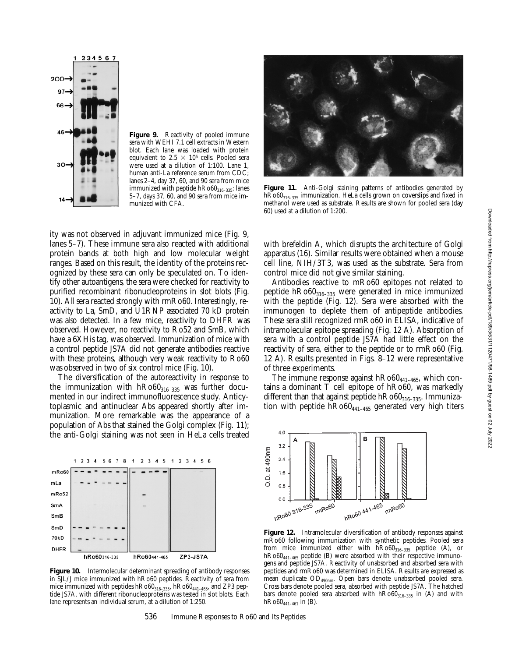

Figure 9. Reactivity of pooled immune sera with WEHI 7.1 cell extracts in Western blot. Each lane was loaded with protein equivalent to 2.5  $\times$  10<sup>6</sup> cells. Pooled sera were used at a dilution of 1:100. Lane 1, human anti-La reference serum from CDC; lanes 2–4, day 37, 60, and 90 sera from mice immunized with peptide  $hRo60_{316-335}$ ; lanes 5–7, days 37, 60, and 90 sera from mice immunized with CFA.



Figure 11. Anti-Golgi staining patterns of antibodies generated by hRo60<sub>316-335</sub> immunization. HeLa cells grown on coverslips and fixed in methanol were used as substrate. Results are shown for pooled sera (day 60) used at a dilution of 1:200.

ity was not observed in adjuvant immunized mice (Fig. 9, lanes 5–7). These immune sera also reacted with additional protein bands at both high and low molecular weight ranges. Based on this result, the identity of the proteins recognized by these sera can only be speculated on. To identify other autoantigens, the sera were checked for reactivity to purified recombinant ribonucleoproteins in slot blots (Fig. 10). All sera reacted strongly with rmRo60. Interestingly, reactivity to La, SmD, and U1RNP associated 70 kD protein was also detected. In a few mice, reactivity to DHFR was observed. However, no reactivity to Ro52 and SmB, which have a 6XHis tag, was observed. Immunization of mice with a control peptide JS7A did not generate antibodies reactive with these proteins, although very weak reactivity to Ro60 was observed in two of six control mice (Fig. 10).

The diversification of the autoreactivity in response to the immunization with  $h \text{Ro} 60_{316-335}$  was further documented in our indirect immunofluorescence study. Anticytoplasmic and antinuclear Abs appeared shortly after immunization. More remarkable was the appearance of a population of Abs that stained the Golgi complex (Fig. 11); the anti-Golgi staining was not seen in HeLa cells treated



**Figure 10.** Intermolecular determinant spreading of antibody responses in SJL/J mice immunized with hRo60 peptides. Reactivity of sera from mice immunized with peptides  $hRo60_{316-335}$ ,  $hRo60_{441-465}$ , and ZP3 peptide JS7A, with different ribonucleoproteins was tested in slot blots. Each lane represents an individual serum, at a dilution of 1:250.

with brefeldin A, which disrupts the architecture of Golgi apparatus (16). Similar results were obtained when a mouse cell line, NIH/3T3, was used as the substrate. Sera from control mice did not give similar staining.

Antibodies reactive to mRo60 epitopes not related to peptide  $h \text{Ro} 60_{316-335}$  were generated in mice immunized with the peptide (Fig. 12). Sera were absorbed with the immunogen to deplete them of antipeptide antibodies. These sera still recognized rmRo60 in ELISA, indicative of intramolecular epitope spreading (Fig. 12 A). Absorption of sera with a control peptide JS7A had little effect on the reactivity of sera, either to the peptide or to rmRo60 (Fig. 12 A). Results presented in Figs. 8–12 were representative of three experiments.

The immune response against  $h \text{Ro}60_{441-465}$ , which contains a dominant T cell epitope of hRo60, was markedly different than that against peptide  $h \text{Ro} 60_{316-335}$ . Immunization with peptide  $h \text{Ro60}_{441-465}$  generated very high titers



Figure 12. Intramolecular diversification of antibody responses against mRo60 following immunization with synthetic peptides. Pooled sera from mice immunized either with  $\text{hRo60}_{316-335}$  peptide (A), or hRo60<sub>441-465</sub> peptide (B) were absorbed with their respective immunogens and peptide JS7A. Reactivity of unabsorbed and absorbed sera with peptides and rmRo60 was determined in ELISA. Results are expressed as mean duplicate OD490nm. Open bars denote unabsorbed pooled sera. Cross bars denote pooled sera, absorbed with peptide JS7A. The hatched bars denote pooled sera absorbed with  $h\text{Ro}60_{316-335}$  in (A) and with  $hRo60_{441-461}$  in (B).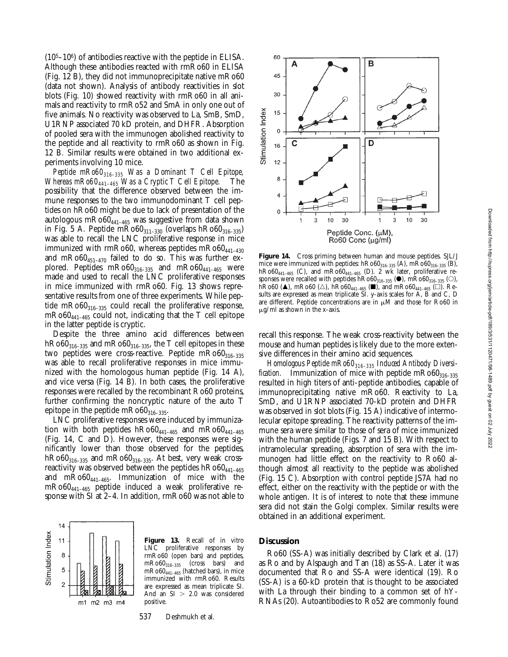$(10<sup>5</sup>–10<sup>6</sup>)$  of antibodies reactive with the peptide in ELISA. Although these antibodies reacted with rmRo60 in ELISA (Fig. 12 B), they did not immunoprecipitate native mRo60 (data not shown). Analysis of antibody reactivities in slot blots (Fig. 10) showed reactivity with rmRo60 in all animals and reactivity to rmRo52 and SmA in only one out of five animals. No reactivity was observed to La, SmB, SmD, U1RNP associated 70 kD protein, and DHFR. Absorption of pooled sera with the immunogen abolished reactivity to the peptide and all reactivity to rmRo60 as shown in Fig. 12 B*.* Similar results were obtained in two additional experiments involving 10 mice.

*Peptide mRo60316–335 Was a Dominant T Cell Epitope, Whereas mRo60441–465 Was a Cryptic T Cell Epitope.* The possibility that the difference observed between the immune responses to the two immunodominant T cell peptides on hRo60 might be due to lack of presentation of the autologous m $Ro60_{441-465}$  was suggestive from data shown in Fig. 5 A. Peptide mRo $60_{311-330}$  (overlaps hRo $60_{316-335}$ ) was able to recall the LNC proliferative response in mice immunized with rmRo60, whereas peptides  $mRo60_{441-430}$ and mRo60 $_{451-470}$  failed to do so. This was further explored. Peptides  $mRo60_{316-335}$  and  $mRo60_{441-465}$  were made and used to recall the LNC proliferative responses in mice immunized with rmRo60. Fig. 13 shows representative results from one of three experiments. While peptide mRo60 $_{316-335}$  could recall the proliferative response,  $mRo60_{441-465}$  could not, indicating that the T cell epitope in the latter peptide is cryptic.

Despite the three amino acid differences between  $h \text{Ro} 60_{316-335}$  and  $m \text{Ro} 60_{316-335}$ , the T cell epitopes in these two peptides were cross-reactive. Peptide  $mRo60_{316-335}$ was able to recall proliferative responses in mice immunized with the homologous human peptide (Fig. 14 A), and vice versa (Fig. 14 B). In both cases, the proliferative responses were recalled by the recombinant Ro60 proteins, further confirming the noncryptic nature of the auto T epitope in the peptide  $mRo60_{316-335}$ .

LNC proliferative responses were induced by immunization with both peptides  $h\text{Ro}60_{441-465}$  and  $m\text{Ro}60_{441-465}$ (Fig. 14, C and D). However, these responses were significantly lower than those observed for the peptides,  $h \text{Ro} 60_{316-335}$  and  $m \text{Ro} 60_{316-335}$ . At best, very weak crossreactivity was observed between the peptides  $h \text{Ro} 60_{441-465}$ and mRo60441–465. Immunization of mice with the mRo60441–465 peptide induced a weak proliferative response with SI at 2–4. In addition, rmRo60 was not able to



**Figure 13.** Recall of in vitro LNC proliferative responses by rmRo60 (open bars) and peptides, mRo60316–335 (cross bars) and mRo60441–465 (hatched bars), in mice immunized with rmRo60. Results are expressed as mean triplicate SI. And an  $SI > 2.0$  was considered positive.

537 Deshmukh et al.



**Figure 14.** Cross priming between human and mouse peptides. SJL/J mice were immunized with peptides:  $hRo60_{316-335}$  (A),  $mRo60_{316-335}$  (B),  $h\text{Ro60}_{441-465}$  (C), and  $m\text{Ro60}_{441-465}$  (D). 2 wk later, proliferative responses were recalled with peptides hR060 $_{316-335}$  ( $\bullet$ ), mR060 $_{316-335}$  ( $\circ$ ),  $\hat{h}Ro60$  ( $\triangle$ ), m $Ro60$  ( $\triangle$ ),  $\hat{h}Ro60_{441-465}$  ( $\Box$ ), and m $Ro60_{441-465}$  ( $\Box$ ). Results are expressed as mean triplicate SI. y-axis scales for A, B and C, D are different. Peptide concentrations are in  $\mu$ M and those for Ro60 in  $\mu$ g/ml as shown in the x-axis.

recall this response. The weak cross-reactivity between the mouse and human peptides is likely due to the more extensive differences in their amino acid sequences.

Homologous Peptide mRo60<sub>316-335</sub> Induced Antibody Diversi*fication.* Immunization of mice with peptide  $mRo60_{316-335}$ resulted in high titers of anti-peptide antibodies, capable of immunoprecipitating native mRo60. Reactivity to La, SmD, and U1RNP associated 70-kD protein and DHFR was observed in slot blots (Fig. 15 A) indicative of intermolecular epitope spreading. The reactivity patterns of the immune sera were similar to those of sera of mice immunized with the human peptide (Figs. 7 and 15 B). With respect to intramolecular spreading, absorption of sera with the immunogen had little effect on the reactivity to Ro60 although almost all reactivity to the peptide was abolished (Fig. 15 C). Absorption with control peptide JS7A had no effect, either on the reactivity with the peptide or with the whole antigen. It is of interest to note that these immune sera did not stain the Golgi complex. Similar results were obtained in an additional experiment.

### **Discussion**

Ro60 (SS-A) was initially described by Clark et al. (17) as Ro and by Alspaugh and Tan (18) as SS-A. Later it was documented that Ro and SS-A were identical (19). Ro (SS-A) is a 60-kD protein that is thought to be associated with La through their binding to a common set of hY-RNAs (20). Autoantibodies to Ro52 are commonly found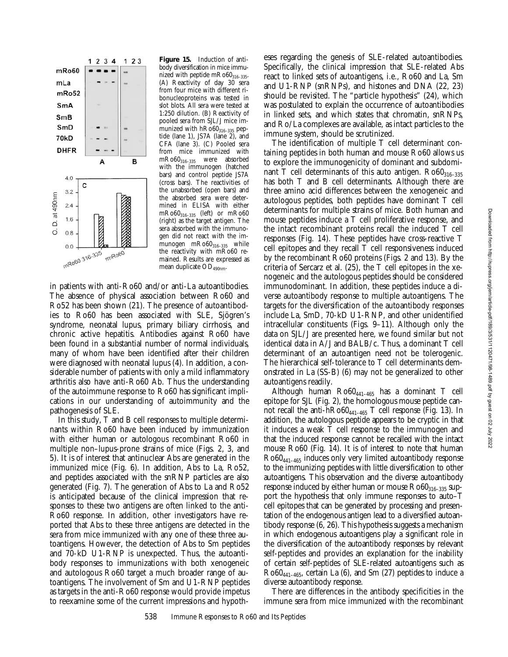

**Figure 15.** Induction of antibody diversification in mice immunized with peptide  $mRo60_{316-335}$ . (A) Reactivity of day 30 sera from four mice with different ribonucleoproteins was tested in slot blots. All sera were tested at 1:250 dilution. (B) Reactivity of pooled sera from SJL/J mice immunized with  $hRo60_{316-335}$  peptide (lane 1), JS7A (lane 2), and CFA (lane 3). (C) Pooled sera from mice immunized with mRo60316–335 were absorbed with the immunogen (hatched bars) and control peptide JS7A (cross bars). The reactivities of the unabsorbed (open bars) and the absorbed sera were determined in ELISA with either  $\rm mRo60_{316-335}$  (left) or  $\rm mRo60$ (right) as the target antigen. The sera absorbed with the immunogen did not react with the immunogen  $mRo60_{316-335}$  while the reactivity with mRo60 remained. Results are expressed as mean duplicate  $OD_{490nm}$ .

in patients with anti-Ro60 and/or anti-La autoantibodies. The absence of physical association between Ro60 and Ro52 has been shown (21). The presence of autoantibodies to Ro60 has been associated with SLE, Sjögren's syndrome, neonatal lupus, primary biliary cirrhosis, and chronic active hepatitis. Antibodies against Ro60 have been found in a substantial number of normal individuals, many of whom have been identified after their children were diagnosed with neonatal lupus (4). In addition, a considerable number of patients with only a mild inflammatory arthritis also have anti-Ro60 Ab. Thus the understanding of the autoimmune response to Ro60 has significant implications in our understanding of autoimmunity and the pathogenesis of SLE.

In this study, T and B cell responses to multiple determinants within Ro60 have been induced by immunization with either human or autologous recombinant Ro60 in multiple non–lupus-prone strains of mice (Figs. 2, 3, and 5). It is of interest that antinuclear Abs are generated in the immunized mice (Fig. 6). In addition, Abs to La, Ro52, and peptides associated with the snRNP particles are also generated (Fig. 7). The generation of Abs to La and Ro52 is anticipated because of the clinical impression that responses to these two antigens are often linked to the anti-Ro60 response. In addition, other investigators have reported that Abs to these three antigens are detected in the sera from mice immunized with any one of these three autoantigens. However, the detection of Abs to Sm peptides and 70-kD U1-RNP is unexpected. Thus, the autoantibody responses to immunizations with both xenogeneic and autologous Ro60 target a much broader range of autoantigens. The involvement of Sm and U1-RNP peptides as targets in the anti-Ro60 response would provide impetus to reexamine some of the current impressions and hypotheses regarding the genesis of SLE-related autoantibodies. Specifically, the clinical impression that SLE-related Abs react to linked sets of autoantigens, i.e., Ro60 and La, Sm and U1-RNP (snRNPs), and histones and DNA (22, 23) should be revisited. The "particle hypothesis" (24), which was postulated to explain the occurrence of autoantibodies in linked sets, and which states that chromatin, snRNPs, and Ro/La complexes are available, as intact particles to the immune system, should be scrutinized.

The identification of multiple T cell determinant containing peptides in both human and mouse Ro60 allows us to explore the immunogenicity of dominant and subdominant T cell determinants of this auto antigen.  $Ro60_{316-335}$ has both T and B cell determinants. Although there are three amino acid differences between the xenogeneic and autologous peptides, both peptides have dominant T cell determinants for multiple strains of mice. Both human and mouse peptides induce a T cell proliferative response, and the intact recombinant proteins recall the induced T cell responses (Fig. 14). These peptides have cross-reactive T cell epitopes and they recall T cell responsiveness induced by the recombinant Ro60 proteins (Figs. 2 and 13). By the criteria of Sercarz et al. (25), the T cell epitopes in the xenogeneic and the autologous peptides should be considered immunodominant. In addition, these peptides induce a diverse autoantibody response to multiple autoantigens. The targets for the diversification of the autoantibody responses include La, SmD, 70-kD U1-RNP, and other unidentified intracellular constituents (Figs. 9–11). Although only the data on SJL/J are presented here, we found similar but not identical data in A/J and BALB/c. Thus, a dominant T cell determinant of an autoantigen need not be tolerogenic. The hierarchical self-tolerance to T cell determinants demonstrated in La (SS-B) (6) may not be generalized to other autoantigens readily.

Although human  $Ro60_{441-465}$  has a dominant T cell epitope for SJL (Fig. 2), the homologous mouse peptide cannot recall the anti- $h$ Ro60<sub>441-465</sub> T cell response (Fig. 13). In addition, the autologous peptide appears to be cryptic in that it induces a weak T cell response to the immunogen and that the induced response cannot be recalled with the intact mouse Ro60 (Fig. 14). It is of interest to note that human Ro60441–465 induces only very limited autoantibody response to the immunizing peptides with little diversification to other autoantigens. This observation and the diverse autoantibody response induced by either human or mouse  $Ro60_{316-335}$  support the hypothesis that only immune responses to auto–T cell epitopes that can be generated by processing and presentation of the endogenous antigen lead to a diversified autoantibody response (6, 26). This hypothesis suggests a mechanism in which endogenous autoantigens play a significant role in the diversification of the autoantibody responses by relevant self-peptides and provides an explanation for the inability of certain self-peptides of SLE-related autoantigens such as  $Ro60_{441-465}$ , certain La (6), and Sm (27) peptides to induce a diverse autoantibody response.

There are differences in the antibody specificities in the immune sera from mice immunized with the recombinant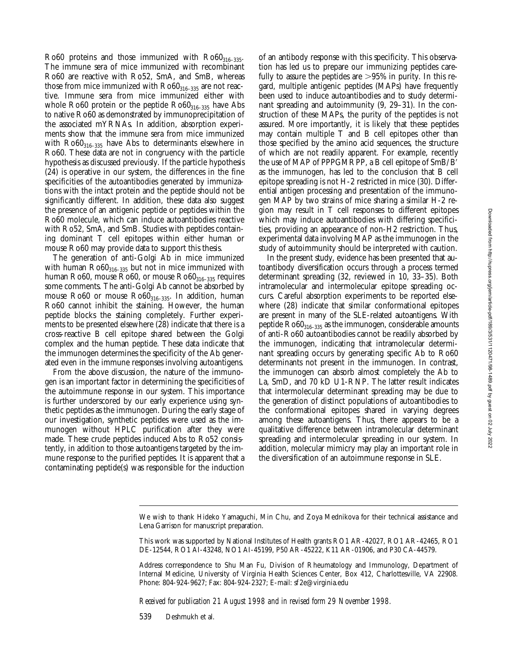Ro60 proteins and those immunized with  $Ro60_{316-335}$ . The immune sera of mice immunized with recombinant Ro60 are reactive with Ro52, SmA, and SmB, whereas those from mice immunized with  $Ro60_{316-335}$  are not reactive. Immune sera from mice immunized either with whole Ro60 protein or the peptide  $Ro60_{316-335}$  have Abs to native Ro60 as demonstrated by immunoprecipitation of the associated mYRNAs. In addition, absorption experiments show that the immune sera from mice immunized with  $Ro60_{316-335}$  have Abs to determinants elsewhere in Ro60. These data are not in congruency with the particle hypothesis as discussed previously. If the particle hypothesis (24) is operative in our system, the differences in the fine specificities of the autoantibodies generated by immunizations with the intact protein and the peptide should not be significantly different. In addition, these data also suggest the presence of an antigenic peptide or peptides within the Ro60 molecule, which can induce autoantibodies reactive with Ro52, SmA, and SmB. Studies with peptides containing dominant T cell epitopes within either human or mouse Ro60 may provide data to support this thesis.

The generation of anti-Golgi Ab in mice immunized with human  $Ro60_{316-335}$  but not in mice immunized with human Ro60, mouse Ro60, or mouse  $Ro60_{316-335}$  requires some comments. The anti-Golgi Ab cannot be absorbed by mouse Ro60 or mouse  $Ro60_{316-335}$ . In addition, human Ro60 cannot inhibit the staining. However, the human peptide blocks the staining completely. Further experiments to be presented elsewhere (28) indicate that there is a cross-reactive B cell epitope shared between the Golgi complex and the human peptide. These data indicate that the immunogen determines the specificity of the Ab generated even in the immune responses involving autoantigens.

From the above discussion, the nature of the immunogen is an important factor in determining the specificities of the autoimmune response in our system. This importance is further underscored by our early experience using synthetic peptides as the immunogen. During the early stage of our investigation, synthetic peptides were used as the immunogen without HPLC purification after they were made. These crude peptides induced Abs to Ro52 consistently, in addition to those autoantigens targeted by the immune response to the purified peptides. It is apparent that a contaminating peptide(s) was responsible for the induction

of an antibody response with this specificity. This observation has led us to prepare our immunizing peptides carefully to assure the peptides are  $>95\%$  in purity. In this regard, multiple antigenic peptides (MAPs) have frequently been used to induce autoantibodies and to study determinant spreading and autoimmunity (9, 29–31). In the construction of these MAPs, the purity of the peptides is not assured. More importantly, it is likely that these peptides may contain multiple T and B cell epitopes other than those specified by the amino acid sequences, the structure of which are not readily apparent. For example, recently the use of MAP of PPPGMRPP, a B cell epitope of SmB/B' as the immunogen, has led to the conclusion that B cell epitope spreading is not H-2 restricted in mice (30). Differential antigen processing and presentation of the immunogen MAP by two strains of mice sharing a similar H-2 region may result in T cell responses to different epitopes which may induce autoantibodies with differing specificities, providing an appearance of non-H2 restriction. Thus, experimental data involving MAP as the immunogen in the study of autoimmunity should be interpreted with caution.

In the present study, evidence has been presented that autoantibody diversification occurs through a process termed determinant spreading (32, reviewed in 10, 33–35). Both intramolecular and intermolecular epitope spreading occurs. Careful absorption experiments to be reported elsewhere (28) indicate that similar conformational epitopes are present in many of the SLE-related autoantigens. With peptide  $Ro60_{316-335}$  as the immunogen, considerable amounts of anti-Ro60 autoantibodies cannot be readily absorbed by the immunogen, indicating that intramolecular determinant spreading occurs by generating specific Ab to Ro60 determinants not present in the immunogen. In contrast, the immunogen can absorb almost completely the Ab to La, SmD, and 70 kD U1-RNP. The latter result indicates that intermolecular determinant spreading may be due to the generation of distinct populations of autoantibodies to the conformational epitopes shared in varying degrees among these autoantigens. Thus, there appears to be a qualitative difference between intramolecular determinant spreading and intermolecular spreading in our system. In addition, molecular mimicry may play an important role in the diversification of an autoimmune response in SLE.

*Received for publication 21 August 1998 and in revised form 29 November 1998.*

539 Deshmukh et al.

We wish to thank Hideko Yamaguchi, Min Chu, and Zoya Mednikova for their technical assistance and Lena Garrison for manuscript preparation.

This work was supported by National Institutes of Health grants RO1 AR-42027, RO1 AR-42465, RO1 DE-12544, RO1 AI-43248, NO1 AI-45199, P50 AR-45222, K11 AR-01906, and P30 CA-44579.

Address correspondence to Shu Man Fu, Division of Rheumatology and Immunology, Department of Internal Medicine, University of Virginia Health Sciences Center, Box 412, Charlottesville, VA 22908. Phone: 804-924-9627; Fax: 804-924-2327; E-mail: sf 2e@virginia.edu